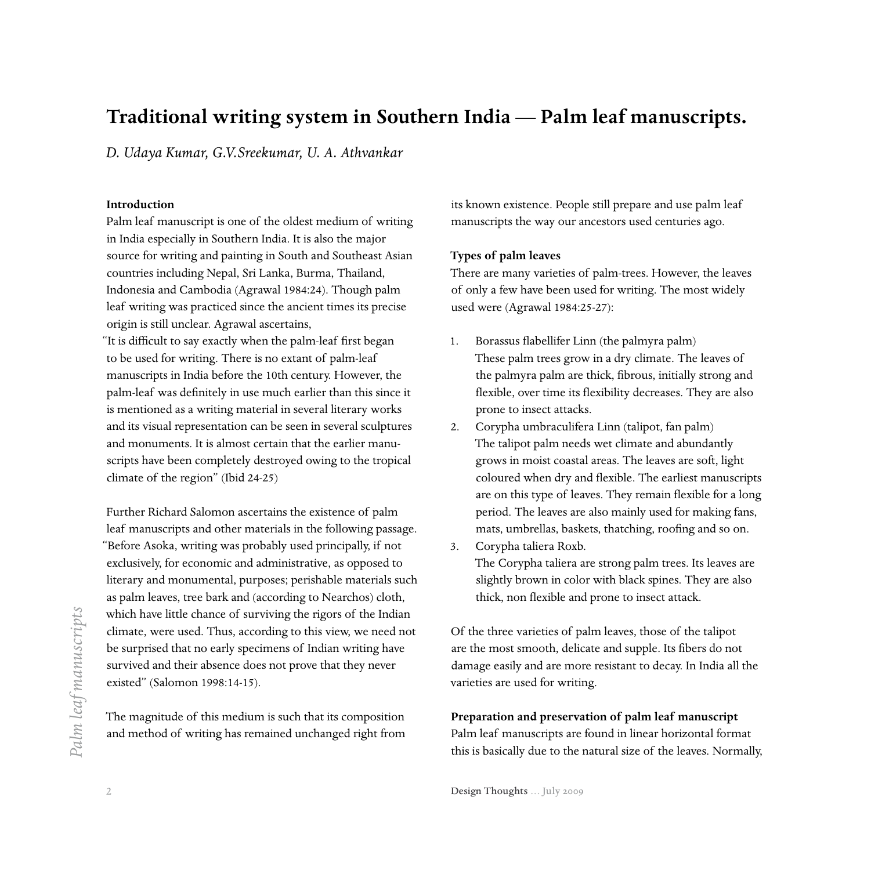# **Traditional writing system in Southern India — Palm leaf manuscripts.**

*D. Udaya Kumar, G.V.Sreekumar, U. A. Athvankar*

# **Introduction**

Palm leaf manuscript is one of the oldest medium of writing in India especially in Southern India. It is also the major source for writing and painting in South and Southeast Asian countries including Nepal, Sri Lanka, Burma, Thailand, Indonesia and Cambodia (Agrawal 1984:24). Though palm leaf writing was practiced since the ancient times its precise origin is still unclear. Agrawal ascertains,

"It is difficult to say exactly when the palm-leaf first began to be used for writing. There is no extant of palm-leaf manuscripts in India before the 10th century. However, the palm-leaf was definitely in use much earlier than this since it is mentioned as a writing material in several literary works and its visual representation can be seen in several sculptures and monuments. It is almost certain that the earlier manuscripts have been completely destroyed owing to the tropical climate of the region" (Ibid 24-25)

Further Richard Salomon ascertains the existence of palm leaf manuscripts and other materials in the following passage. "Before Asoka, writing was probably used principally, if not exclusively, for economic and administrative, as opposed to literary and monumental, purposes; perishable materials such as palm leaves, tree bark and (according to Nearchos) cloth, which have little chance of surviving the rigors of the Indian climate, were used. Thus, according to this view, we need not be surprised that no early specimens of Indian writing have survived and their absence does not prove that they never existed" (Salomon 1998:14-15).

The magnitude of this medium is such that its composition and method of writing has remained unchanged right from its known existence. People still prepare and use palm leaf manuscripts the way our ancestors used centuries ago.

#### **Types of palm leaves**

There are many varieties of palm-trees. However, the leaves of only a few have been used for writing. The most widely used were (Agrawal 1984:25-27):

- 1. Borassus flabellifer Linn (the palmyra palm) These palm trees grow in a dry climate. The leaves of the palmyra palm are thick, fibrous, initially strong and flexible, over time its flexibility decreases. They are also prone to insect attacks.
- 2. Corypha umbraculifera Linn (talipot, fan palm) The talipot palm needs wet climate and abundantly grows in moist coastal areas. The leaves are soft, light coloured when dry and flexible. The earliest manuscripts are on this type of leaves. They remain flexible for a long period. The leaves are also mainly used for making fans, mats, umbrellas, baskets, thatching, roofing and so on.
- 3. Corypha taliera Roxb. The Corypha taliera are strong palm trees. Its leaves are slightly brown in color with black spines. They are also thick, non flexible and prone to insect attack.

Of the three varieties of palm leaves, those of the talipot are the most smooth, delicate and supple. Its fibers do not damage easily and are more resistant to decay. In India all the varieties are used for writing.

# **Preparation and preservation of palm leaf manuscript** Palm leaf manuscripts are found in linear horizontal format this is basically due to the natural size of the leaves. Normally,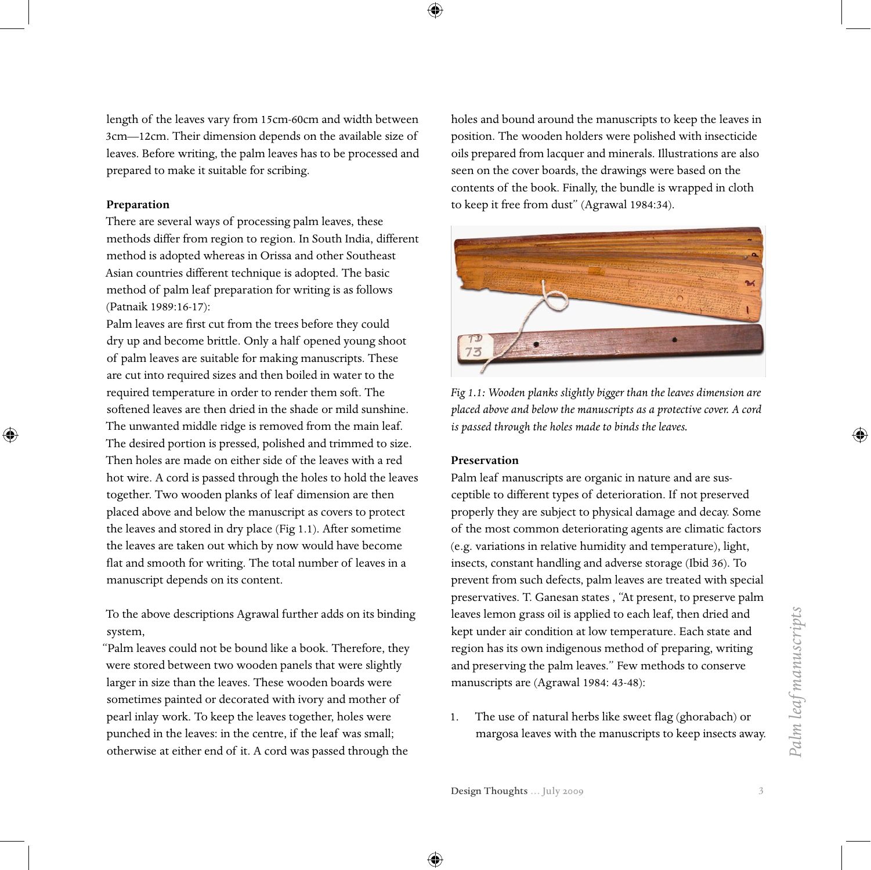⊕

length of the leaves vary from 15cm-60cm and width between 3cm—12cm. Their dimension depends on the available size of leaves. Before writing, the palm leaves has to be processed and prepared to make it suitable for scribing.

# **Preparation**

⊕

There are several ways of processing palm leaves, these methods differ from region to region. In South India, different method is adopted whereas in Orissa and other Southeast Asian countries different technique is adopted. The basic method of palm leaf preparation for writing is as follows (Patnaik 1989:16-17):

Palm leaves are first cut from the trees before they could dry up and become brittle. Only a half opened young shoot of palm leaves are suitable for making manuscripts. These are cut into required sizes and then boiled in water to the required temperature in order to render them soft. The softened leaves are then dried in the shade or mild sunshine. The unwanted middle ridge is removed from the main leaf. The desired portion is pressed, polished and trimmed to size. Then holes are made on either side of the leaves with a red hot wire. A cord is passed through the holes to hold the leaves together. Two wooden planks of leaf dimension are then placed above and below the manuscript as covers to protect the leaves and stored in dry place (Fig 1.1). After sometime the leaves are taken out which by now would have become flat and smooth for writing. The total number of leaves in a manuscript depends on its content.

To the above descriptions Agrawal further adds on its binding system,

"Palm leaves could not be bound like a book. Therefore, they were stored between two wooden panels that were slightly larger in size than the leaves. These wooden boards were sometimes painted or decorated with ivory and mother of pearl inlay work. To keep the leaves together, holes were punched in the leaves: in the centre, if the leaf was small; otherwise at either end of it. A cord was passed through the

holes and bound around the manuscripts to keep the leaves in position. The wooden holders were polished with insecticide oils prepared from lacquer and minerals. Illustrations are also seen on the cover boards, the drawings were based on the contents of the book. Finally, the bundle is wrapped in cloth to keep it free from dust" (Agrawal 1984:34).



*Fig 1.1: Wooden planks slightly bigger than the leaves dimension are placed above and below the manuscripts as a protective cover. A cord is passed through the holes made to binds the leaves.* 

#### **Preservation**

Palm leaf manuscripts are organic in nature and are susceptible to different types of deterioration. If not preserved properly they are subject to physical damage and decay. Some of the most common deteriorating agents are climatic factors (e.g. variations in relative humidity and temperature), light, insects, constant handling and adverse storage (Ibid 36). To prevent from such defects, palm leaves are treated with special preservatives. T. Ganesan states , "At present, to preserve palm leaves lemon grass oil is applied to each leaf, then dried and kept under air condition at low temperature. Each state and region has its own indigenous method of preparing, writing and preserving the palm leaves." Few methods to conserve manuscripts are (Agrawal 1984: 43-48):

1. The use of natural herbs like sweet flag (ghorabach) or margosa leaves with the manuscripts to keep insects away. *Palm leaf manuscripts*

Palm leaf manuscripts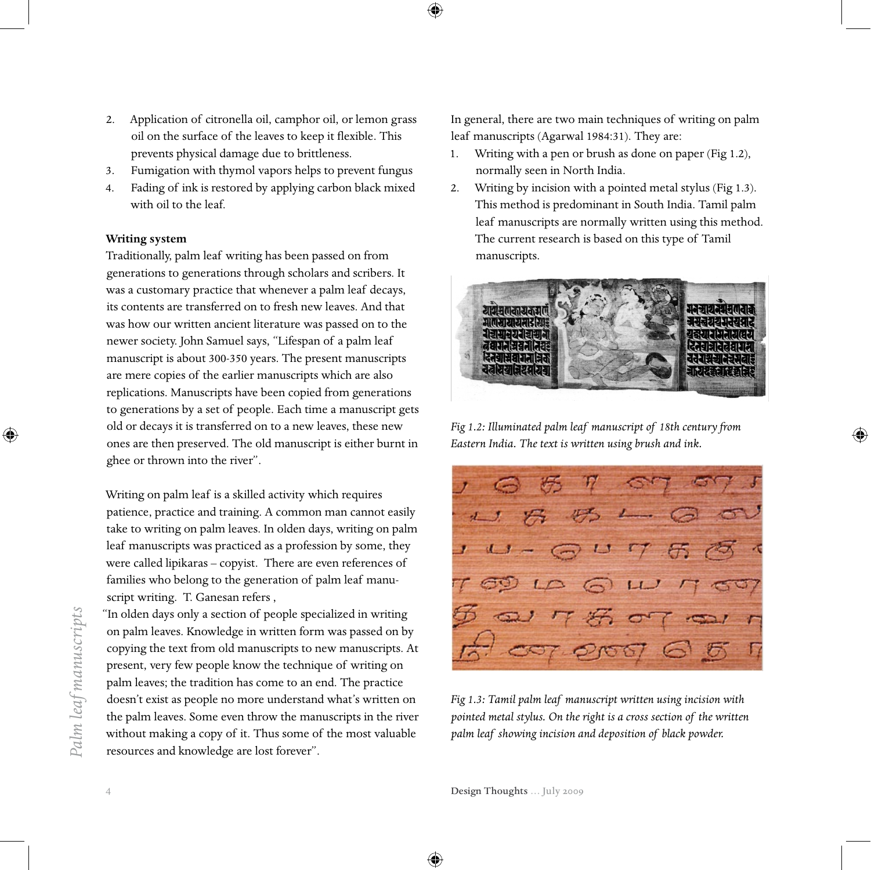- 2. Application of citronella oil, camphor oil, or lemon grass oil on the surface of the leaves to keep it flexible. This prevents physical damage due to brittleness.
- 3. Fumigation with thymol vapors helps to prevent fungus
- 4. Fading of ink is restored by applying carbon black mixed with oil to the leaf.

#### **Writing system**

Traditionally, palm leaf writing has been passed on from generations to generations through scholars and scribers. It was a customary practice that whenever a palm leaf decays, its contents are transferred on to fresh new leaves. And that was how our written ancient literature was passed on to the newer society. John Samuel says, "Lifespan of a palm leaf manuscript is about 300-350 years. The present manuscripts are mere copies of the earlier manuscripts which are also replications. Manuscripts have been copied from generations to generations by a set of people. Each time a manuscript gets old or decays it is transferred on to a new leaves, these new ones are then preserved. The old manuscript is either burnt in ghee or thrown into the river".

Writing on palm leaf is a skilled activity which requires patience, practice and training. A common man cannot easily take to writing on palm leaves. In olden days, writing on palm leaf manuscripts was practiced as a profession by some, they were called lipikaras – copyist. There are even references of families who belong to the generation of palm leaf manuscript writing. T. Ganesan refers ,

"In olden days only a section of people specialized in writing on palm leaves. Knowledge in written form was passed on by copying the text from old manuscripts to new manuscripts. At present, very few people know the technique of writing on palm leaves; the tradition has come to an end. The practice doesn't exist as people no more understand what's written on the palm leaves. Some even throw the manuscripts in the river without making a copy of it. Thus some of the most valuable resources and knowledge are lost forever".

In general, there are two main techniques of writing on palm leaf manuscripts (Agarwal 1984:31). They are:

- 1. Writing with a pen or brush as done on paper (Fig 1.2), normally seen in North India.
- 2. Writing by incision with a pointed metal stylus (Fig 1.3). This method is predominant in South India. Tamil palm leaf manuscripts are normally written using this method. The current research is based on this type of Tamil manuscripts.



*Fig 1.2: Illuminated palm leaf manuscript of 18th century from Eastern India. The text is written using brush and ink.*

1 1 17 4/2 1  $J dJ - G U T$ ODLA QLU MOT  $777707$ 

*Fig 1.3: Tamil palm leaf manuscript written using incision with pointed metal stylus. On the right is a cross section of the written palm leaf showing incision and deposition of black powder.*

⊕

⊕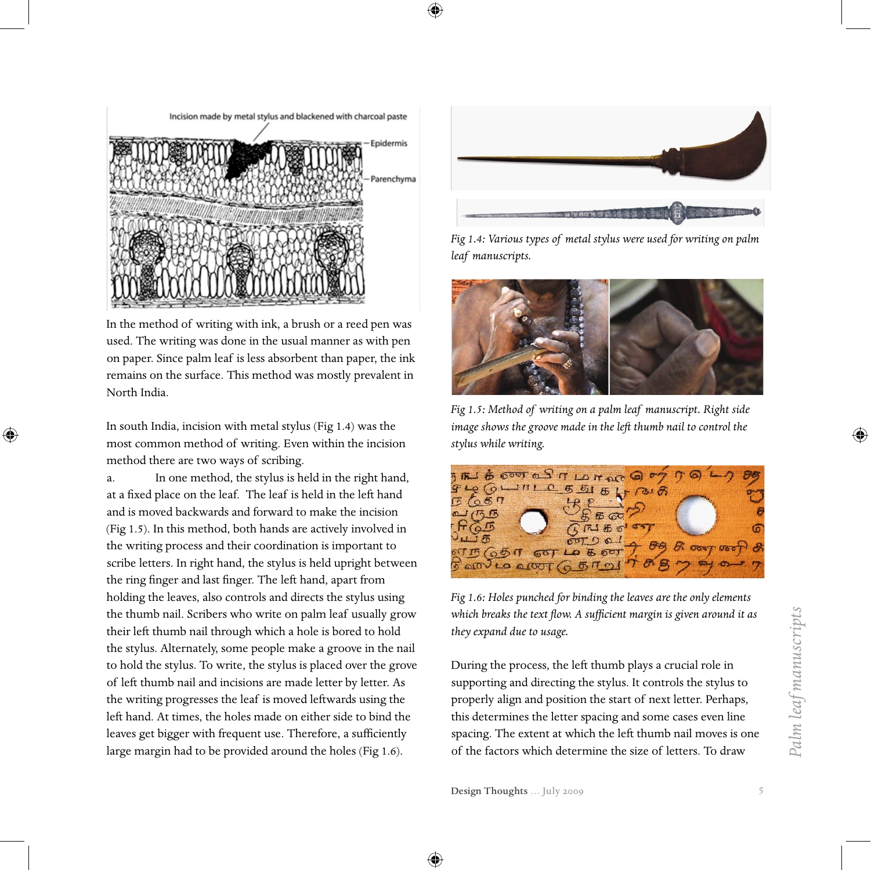

Incision made by metal stylus and blackened with charcoal paste Epidermis arenchyma

In the method of writing with ink, a brush or a reed pen was used. The writing was done in the usual manner as with pen on paper. Since palm leaf is less absorbent than paper, the ink remains on the surface. This method was mostly prevalent in North India.

In south India, incision with metal stylus (Fig 1.4) was the most common method of writing. Even within the incision method there are two ways of scribing.

⊕

a. In one method, the stylus is held in the right hand, at a fixed place on the leaf. The leaf is held in the left hand and is moved backwards and forward to make the incision (Fig 1.5). In this method, both hands are actively involved in the writing process and their coordination is important to scribe letters. In right hand, the stylus is held upright between the ring finger and last finger. The left hand, apart from holding the leaves, also controls and directs the stylus using the thumb nail. Scribers who write on palm leaf usually grow their left thumb nail through which a hole is bored to hold the stylus. Alternately, some people make a groove in the nail to hold the stylus. To write, the stylus is placed over the grove of left thumb nail and incisions are made letter by letter. As the writing progresses the leaf is moved leftwards using the left hand. At times, the holes made on either side to bind the leaves get bigger with frequent use. Therefore, a sufficiently large margin had to be provided around the holes (Fig 1.6).



*Fig 1.4: Various types of metal stylus were used for writing on palm leaf manuscripts.*



*Fig 1.5: Method of writing on a palm leaf manuscript. Right side image shows the groove made in the left thumb nail to control the stylus while writing.*



*Fig 1.6: Holes punched for binding the leaves are the only elements which breaks the text flow. A sufficient margin is given around it as they expand due to usage.*

During the process, the left thumb plays a crucial role in supporting and directing the stylus. It controls the stylus to properly align and position the start of next letter. Perhaps, this determines the letter spacing and some cases even line spacing. The extent at which the left thumb nail moves is one of the factors which determine the size of letters. To draw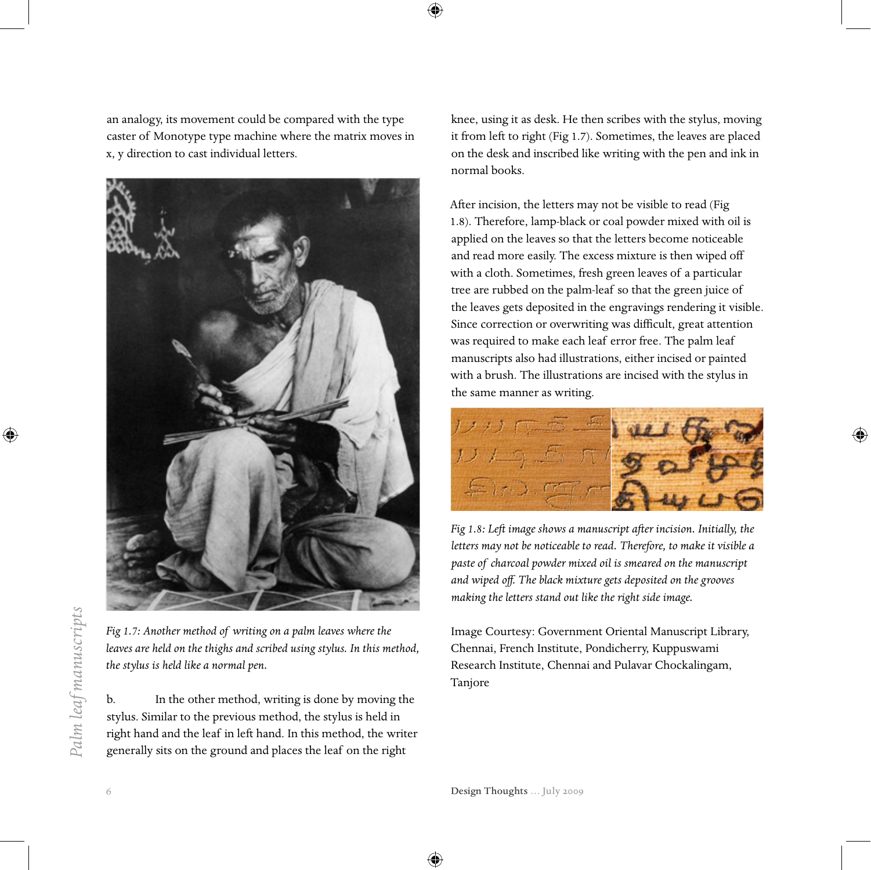an analogy, its movement could be compared with the type caster of Monotype type machine where the matrix moves in x, y direction to cast individual letters.



⊕

*Fig 1.7: Another method of writing on a palm leaves where the leaves are held on the thighs and scribed using stylus. In this method, the stylus is held like a normal pen.*

b. In the other method, writing is done by moving the stylus. Similar to the previous method, the stylus is held in right hand and the leaf in left hand. In this method, the writer generally sits on the ground and places the leaf on the right

knee, using it as desk. He then scribes with the stylus, moving it from left to right (Fig 1.7). Sometimes, the leaves are placed on the desk and inscribed like writing with the pen and ink in normal books.

After incision, the letters may not be visible to read (Fig 1.8). Therefore, lamp-black or coal powder mixed with oil is applied on the leaves so that the letters become noticeable and read more easily. The excess mixture is then wiped off with a cloth. Sometimes, fresh green leaves of a particular tree are rubbed on the palm-leaf so that the green juice of the leaves gets deposited in the engravings rendering it visible. Since correction or overwriting was difficult, great attention was required to make each leaf error free. The palm leaf manuscripts also had illustrations, either incised or painted with a brush. The illustrations are incised with the stylus in the same manner as writing.



*Fig 1.8: Left image shows a manuscript after incision. Initially, the letters may not be noticeable to read. Therefore, to make it visible a paste of charcoal powder mixed oil is smeared on the manuscript and wiped off. The black mixture gets deposited on the grooves making the letters stand out like the right side image.*

Image Courtesy: Government Oriental Manuscript Library, Chennai, French Institute, Pondicherry, Kuppuswami Research Institute, Chennai and Pulavar Chockalingam, Tanjore